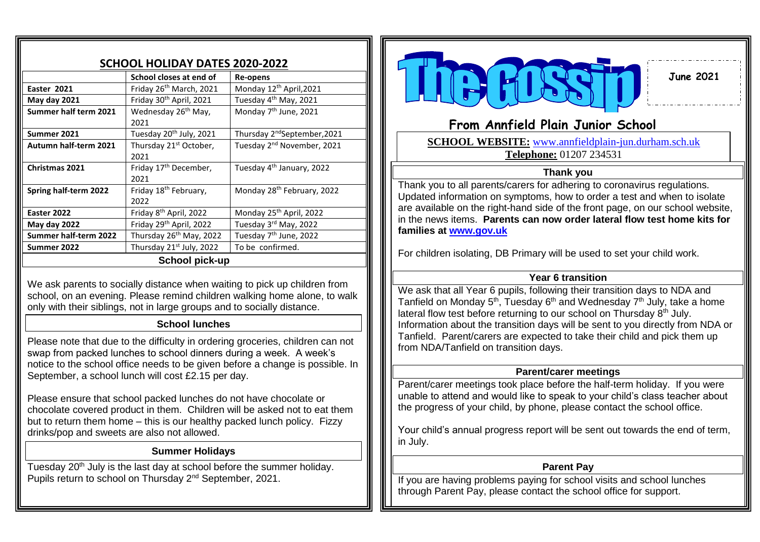| <b>SCHOOL HOLIDAY DATES 2020-2022</b> |                                            |                                          |
|---------------------------------------|--------------------------------------------|------------------------------------------|
|                                       | School closes at end of                    | <b>Re-opens</b>                          |
| Easter 2021                           | Friday 26 <sup>th</sup> March, 2021        | Monday 12th April, 2021                  |
| <b>May day 2021</b>                   | Friday 30th April, 2021                    | Tuesday 4 <sup>th</sup> May, 2021        |
| Summer half term 2021                 | Wednesday 26 <sup>th</sup> May,<br>2021    | Monday 7 <sup>th</sup> June, 2021        |
| Summer 2021                           | Tuesday 20 <sup>th</sup> July, 2021        | Thursday 2 <sup>nd</sup> September, 2021 |
| Autumn half-term 2021                 | Thursday 21 <sup>st</sup> October,<br>2021 | Tuesday 2 <sup>nd</sup> November, 2021   |
| <b>Christmas 2021</b>                 | Friday 17 <sup>th</sup> December,<br>2021  | Tuesday 4 <sup>th</sup> January, 2022    |
| Spring half-term 2022                 | Friday 18 <sup>th</sup> February,<br>2022  | Monday 28 <sup>th</sup> February, 2022   |
| Easter 2022                           | Friday 8 <sup>th</sup> April, 2022         | Monday 25 <sup>th</sup> April, 2022      |
| May day 2022                          | Friday 29 <sup>th</sup> April, 2022        | Tuesday 3rd May, 2022                    |
| Summer half-term 2022                 | Thursday 26 <sup>th</sup> May, 2022        | Tuesday 7 <sup>th</sup> June, 2022       |
| Summer 2022                           | Thursday 21st July, 2022                   | To be confirmed.                         |
| <b>School pick-up</b>                 |                                            |                                          |

We ask parents to socially distance when waiting to pick up children from school, on an evening. Please remind children walking home alone, to walk only with their siblings, not in large groups and to socially distance.

## **School lunches**

Please note that due to the difficulty in ordering groceries, children can not swap from packed lunches to school dinners during a week. A week's notice to the school office needs to be given before a change is possible. In September, a school lunch will cost £2.15 per day.

Please ensure that school packed lunches do not have chocolate or chocolate covered product in them. Children will be asked not to eat them but to return them home – this is our healthy packed lunch policy. Fizzy drinks/pop and sweets are also not allowed.

# **Summer Holidays**

Tuesday 20<sup>th</sup> July is the last day at school before the summer holiday. Pupils return to school on Thursday 2nd September, 2021.



# **From Annfield Plain Junior School**

**SCHOOL WEBSITE:** [www.annfieldplain-jun.durham.sch.uk](http://www.annfieldplain-jun.durham.sch.uk/) **Telephone:** 01207 234531

#### **Thank you**

Thank you to all parents/carers for adhering to coronavirus regulations. Updated information on symptoms, how to order a test and when to isolate are available on the right-hand side of the front page, on our school website, in the news items. **Parents can now order lateral flow test home kits for families at [www.gov.uk](http://www.gov.uk/)**

For children isolating, DB Primary will be used to set your child work.

# **Year 6 transition**

We ask that all Year 6 pupils, following their transition days to NDA and Tanfield on Monday  $5<sup>th</sup>$ , Tuesday  $6<sup>th</sup>$  and Wednesday  $7<sup>th</sup>$  July, take a home lateral flow test before returning to our school on Thursday 8<sup>th</sup> July. Information about the transition days will be sent to you directly from NDA or Tanfield. Parent/carers are expected to take their child and pick them up from NDA/Tanfield on transition days.

## **Parent/carer meetings**

Parent/carer meetings took place before the half-term holiday. If you were unable to attend and would like to speak to your child's class teacher about the progress of your child, by phone, please contact the school office.

Your child's annual progress report will be sent out towards the end of term, in July.

## **Parent Pay**

If you are having problems paying for school visits and school lunches through Parent Pay, please contact the school office for support.